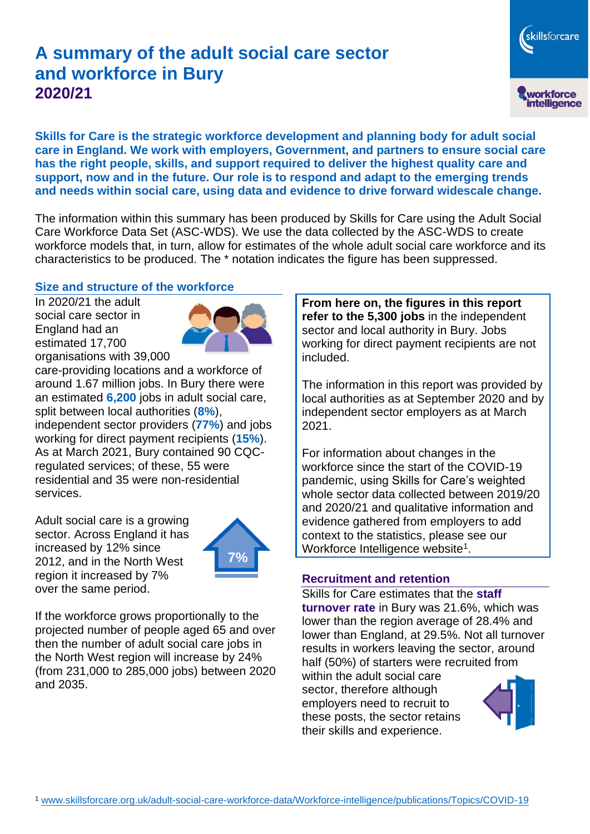# **A summary of the adult social care sector and workforce in Bury 2020/21**

workforce<br>intelligence **Skills for Care is the strategic workforce development and planning body for adult social care in England. We work with employers, Government, and partners to ensure social care has the right people, skills, and support required to deliver the highest quality care and support, now and in the future. Our role is to respond and adapt to the emerging trends and needs within social care, using data and evidence to drive forward widescale change.**

The information within this summary has been produced by Skills for Care using the Adult Social Care Workforce Data Set (ASC-WDS). We use the data collected by the ASC-WDS to create workforce models that, in turn, allow for estimates of the whole adult social care workforce and its characteristics to be produced. The \* notation indicates the figure has been suppressed.

#### **Size and structure of the workforce**

In 2020/21 the adult social care sector in England had an estimated 17,700 organisations with 39,000



care-providing locations and a workforce of around 1.67 million jobs. In Bury there were an estimated **6,200** jobs in adult social care, split between local authorities (**8%**), independent sector providers (**77%**) and jobs working for direct payment recipients (**15%**). As at March 2021, Bury contained 90 CQCregulated services; of these, 55 were residential and 35 were non-residential services.

Adult social care is a growing sector. Across England it has increased by 12% since 2012, and in the North West region it increased by 7% over the same period.



If the workforce grows proportionally to the projected number of people aged 65 and over then the number of adult social care jobs in the North West region will increase by 24% (from 231,000 to 285,000 jobs) between 2020 and 2035.

**From here on, the figures in this report refer to the 5,300 jobs** in the independent sector and local authority in Bury. Jobs working for direct payment recipients are not included.

The information in this report was provided by local authorities as at September 2020 and by independent sector employers as at March 2021.

For information about changes in the workforce since the start of the COVID-19 pandemic, using Skills for Care's weighted whole sector data collected between 2019/20 and 2020/21 and qualitative information and evidence gathered from employers to add context to the statistics, please see our Workforce Intelligence website<sup>1</sup>.

#### **Recruitment and retention**

Skills for Care estimates that the **staff turnover rate** in Bury was 21.6%, which was lower than the region average of 28.4% and lower than England, at 29.5%. Not all turnover results in workers leaving the sector, around half (50%) of starters were recruited from

within the adult social care sector, therefore although employers need to recruit to these posts, the sector retains their skills and experience.



skillsforcare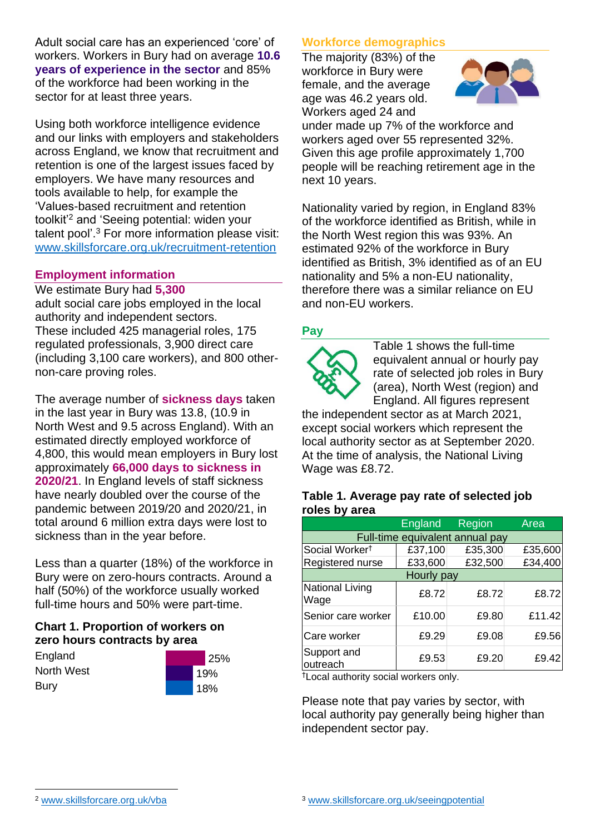Adult social care has an experienced 'core' of workers. Workers in Bury had on average **10.6 years of experience in the sector** and 85% of the workforce had been working in the sector for at least three years.

Using both workforce intelligence evidence and our links with employers and stakeholders across England, we know that recruitment and retention is one of the largest issues faced by employers. We have many resources and tools available to help, for example the 'Values-based recruitment and retention toolkit'<sup>2</sup> and 'Seeing potential: widen your talent pool'. <sup>3</sup> For more information please visit: [www.skillsforcare.org.uk/recruitment-retention](http://www.skillsforcare.org.uk/recruitment-retention)

## **Employment information**

#### We estimate Bury had **5,300**

adult social care jobs employed in the local authority and independent sectors. These included 425 managerial roles, 175 regulated professionals, 3,900 direct care (including 3,100 care workers), and 800 othernon-care proving roles.

The average number of **sickness days** taken in the last year in Bury was 13.8, (10.9 in North West and 9.5 across England). With an estimated directly employed workforce of 4,800, this would mean employers in Bury lost approximately **66,000 days to sickness in 2020/21**. In England levels of staff sickness have nearly doubled over the course of the pandemic between 2019/20 and 2020/21, in total around 6 million extra days were lost to sickness than in the year before.

Less than a quarter (18%) of the workforce in Bury were on zero-hours contracts. Around a half (50%) of the workforce usually worked full-time hours and 50% were part-time.

# **Chart 1. Proportion of workers on zero hours contracts by area**

**England** North West Bury



# **Workforce demographics**

The majority (83%) of the workforce in Bury were female, and the average age was 46.2 years old. Workers aged 24 and



under made up 7% of the workforce and workers aged over 55 represented 32%. Given this age profile approximately 1,700 people will be reaching retirement age in the next 10 years.

Nationality varied by region, in England 83% of the workforce identified as British, while in the North West region this was 93%. An estimated 92% of the workforce in Bury identified as British, 3% identified as of an EU nationality and 5% a non-EU nationality, therefore there was a similar reliance on EU and non-EU workers.

# **Pay**



Table 1 shows the full-time equivalent annual or hourly pay rate of selected job roles in Bury (area), North West (region) and England. All figures represent

the independent sector as at March 2021, except social workers which represent the local authority sector as at September 2020. At the time of analysis, the National Living Wage was £8.72.

#### **Table 1. Average pay rate of selected job roles by area**

|                                 | <b>England</b> | Region  | Area    |
|---------------------------------|----------------|---------|---------|
| Full-time equivalent annual pay |                |         |         |
| Social Worker <sup>t</sup>      | £37,100        | £35,300 | £35,600 |
| Registered nurse                | £33,600        | £32,500 | £34,400 |
| Hourly pay                      |                |         |         |
| National Living<br>Wage         | £8.72          | £8.72   | £8.72   |
| Senior care worker              | £10.00         | £9.80   | £11.42  |
| Care worker                     | £9.29          | £9.08   | £9.56   |
| Support and<br>outreach         | £9.53          | £9.20   | £9.42   |

†Local authority social workers only.

Please note that pay varies by sector, with local authority pay generally being higher than independent sector pay.

[www.skillsforcare.org.uk/vba](http://www.skillsforcare.org.uk/vba)